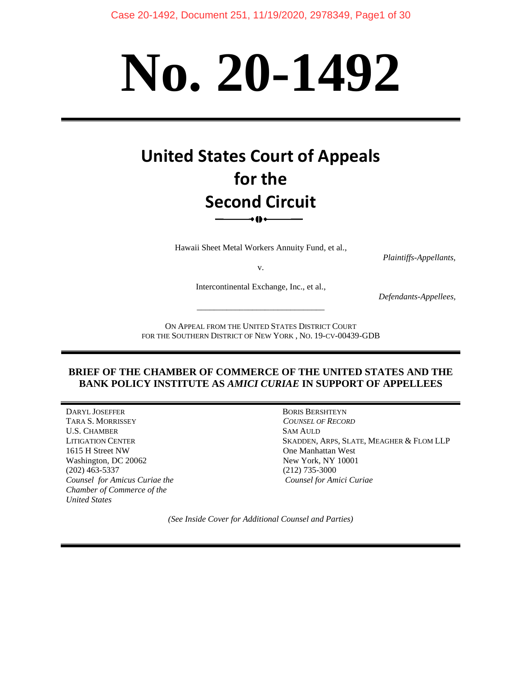# **No. 20-1492**

# **United States Court of Appeals for the Second Circuit** ∗o∗

Hawaii Sheet Metal Workers Annuity Fund, et al.,

*Plaintiffs-Appellants,*

v.

Intercontinental Exchange, Inc., et al.,

\_\_\_\_\_\_\_\_\_\_\_\_\_\_\_\_\_\_\_\_\_\_\_\_\_\_\_\_\_\_

*Defendants-Appellees,*

ON APPEAL FROM THE UNITED STATES DISTRICT COURT FOR THE SOUTHERN DISTRICT OF NEW YORK , NO. 19-CV-00439-GDB

#### **BRIEF OF THE CHAMBER OF COMMERCE OF THE UNITED STATES AND THE BANK POLICY INSTITUTE AS** *AMICI CURIAE* **IN SUPPORT OF APPELLEES**

DARYL JOSEFFER BORIS BERSHTEYN TARA S. MORRISSEY *COUNSEL OF RECORD* U.S. CHAMBER SAM AULD 1615 H Street NW One Manhattan West Washington, DC 20062 New York, NY 10001 (202) 463-5337 (212) 735-3000 *Counsel for Amicus Curiae the Counsel for Amici Curiae Chamber of Commerce of the United States* 

LITIGATION CENTER SKADDEN, ARPS, SLATE, MEAGHER & FLOM LLP

*(See Inside Cover for Additional Counsel and Parties)*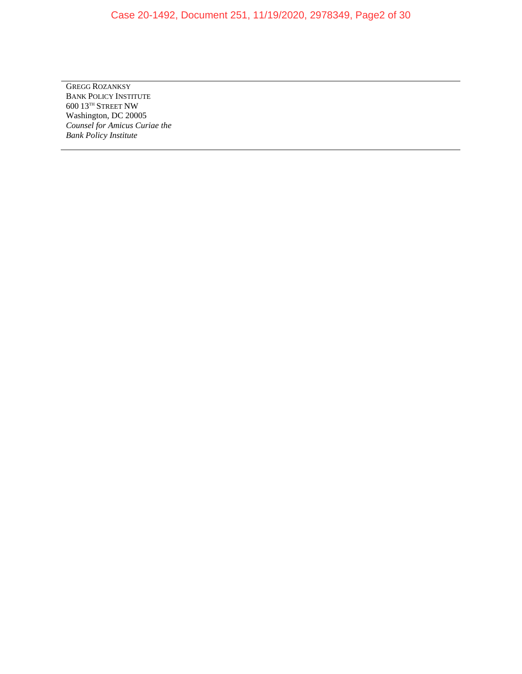## Case 20-1492, Document 251, 11/19/2020, 2978349, Page2 of 30

GREGG ROZANKSY BANK POLICY INSTITUTE  $600$ 13<br/> $^{\rm TH}$  STREET NW Washington, DC 20005 *Counsel for Amicus Curiae the Bank Policy Institute*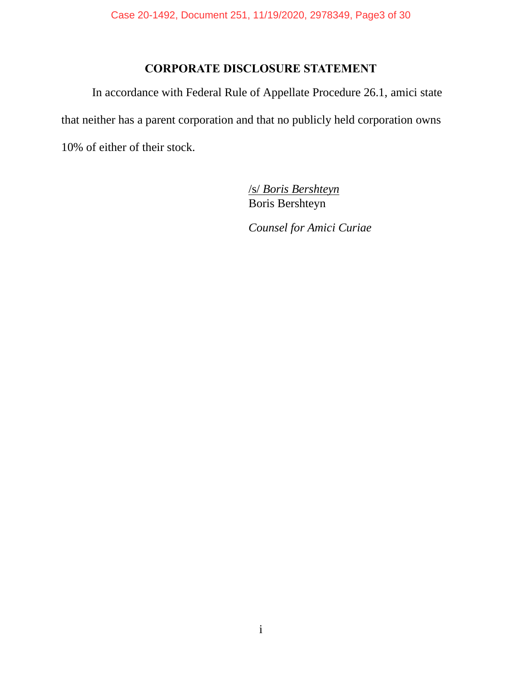# **CORPORATE DISCLOSURE STATEMENT**

In accordance with Federal Rule of Appellate Procedure 26.1, amici state that neither has a parent corporation and that no publicly held corporation owns 10% of either of their stock.

> /s/ *Boris Bershteyn*  Boris Bershteyn

*Counsel for Amici Curiae*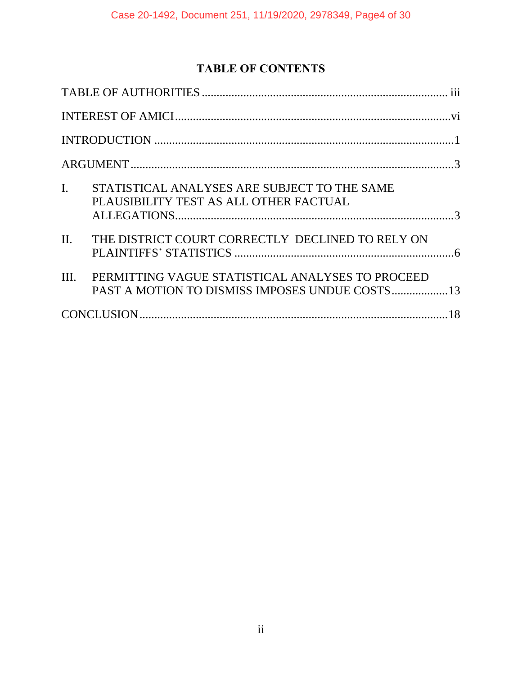# **TABLE OF CONTENTS**

| $\mathbf{I}$ .<br>STATISTICAL ANALYSES ARE SUBJECT TO THE SAME<br>PLAUSIBILITY TEST AS ALL OTHER FACTUAL |  |
|----------------------------------------------------------------------------------------------------------|--|
| THE DISTRICT COURT CORRECTLY DECLINED TO RELY ON<br>II.                                                  |  |
| PERMITTING VAGUE STATISTICAL ANALYSES TO PROCEED<br>III.                                                 |  |
|                                                                                                          |  |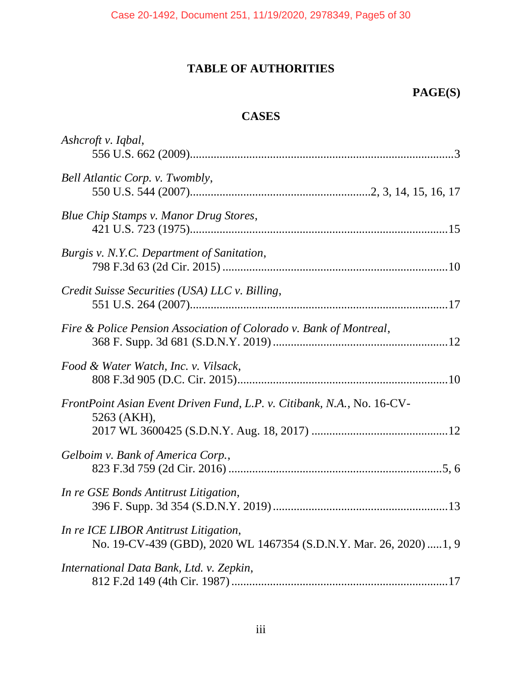# **TABLE OF AUTHORITIES**

# **PAGE(S)**

# **CASES**

<span id="page-4-0"></span>

| Ashcroft v. Iqbal,                                                                                           |
|--------------------------------------------------------------------------------------------------------------|
| Bell Atlantic Corp. v. Twombly,                                                                              |
| Blue Chip Stamps v. Manor Drug Stores,                                                                       |
| Burgis v. N.Y.C. Department of Sanitation,                                                                   |
| Credit Suisse Securities (USA) LLC v. Billing,                                                               |
| Fire & Police Pension Association of Colorado v. Bank of Montreal,                                           |
| Food & Water Watch, Inc. v. Vilsack,                                                                         |
| FrontPoint Asian Event Driven Fund, L.P. v. Citibank, N.A., No. 16-CV-<br>5263 (AKH),                        |
| Gelboim v. Bank of America Corp.,                                                                            |
| In re GSE Bonds Antitrust Litigation,                                                                        |
| In re ICE LIBOR Antitrust Litigation,<br>No. 19-CV-439 (GBD), 2020 WL 1467354 (S.D.N.Y. Mar. 26, 2020)  1, 9 |
| International Data Bank, Ltd. v. Zepkin,                                                                     |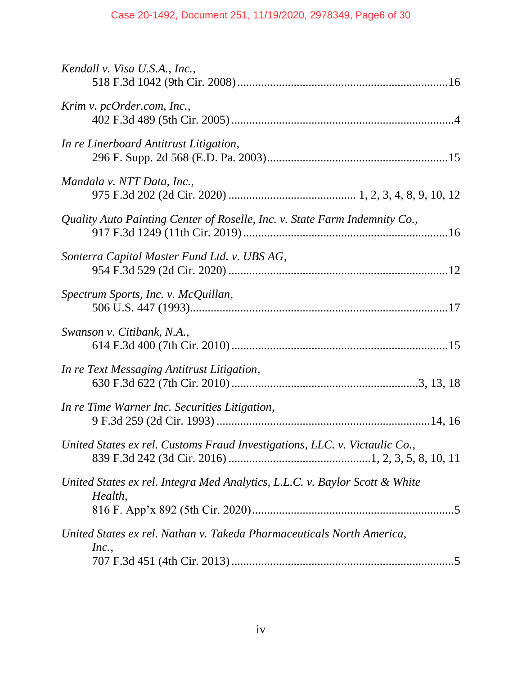| Kendall v. Visa U.S.A., Inc.,                                                          |
|----------------------------------------------------------------------------------------|
| Krim v. pcOrder.com, Inc.,                                                             |
| In re Linerboard Antitrust Litigation,                                                 |
| Mandala v. NTT Data, Inc.,                                                             |
| Quality Auto Painting Center of Roselle, Inc. v. State Farm Indemnity Co.,             |
| Sonterra Capital Master Fund Ltd. v. UBS AG,                                           |
| Spectrum Sports, Inc. v. McQuillan,                                                    |
| Swanson v. Citibank, N.A.,                                                             |
| In re Text Messaging Antitrust Litigation,                                             |
| In re Time Warner Inc. Securities Litigation,                                          |
| United States ex rel. Customs Fraud Investigations, LLC. v. Victaulic Co.,             |
| United States ex rel. Integra Med Analytics, L.L.C. v. Baylor Scott & White<br>Health, |
| United States ex rel. Nathan v. Takeda Pharmaceuticals North America,<br>Inc.,         |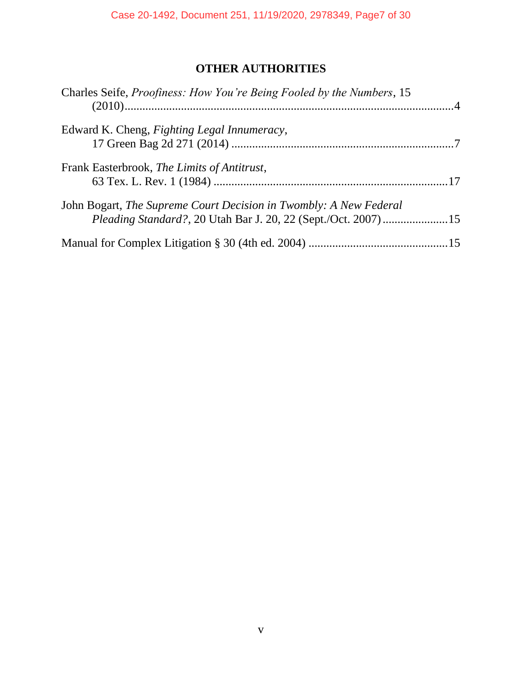# **OTHER AUTHORITIES**

| Charles Seife, Proofiness: How You're Being Fooled by the Numbers, 15                                                              |  |
|------------------------------------------------------------------------------------------------------------------------------------|--|
| Edward K. Cheng, <i>Fighting Legal Innumeracy</i> ,                                                                                |  |
| Frank Easterbrook, The Limits of Antitrust,                                                                                        |  |
| John Bogart, The Supreme Court Decision in Twombly: A New Federal<br>Pleading Standard?, 20 Utah Bar J. 20, 22 (Sept./Oct. 2007)15 |  |
|                                                                                                                                    |  |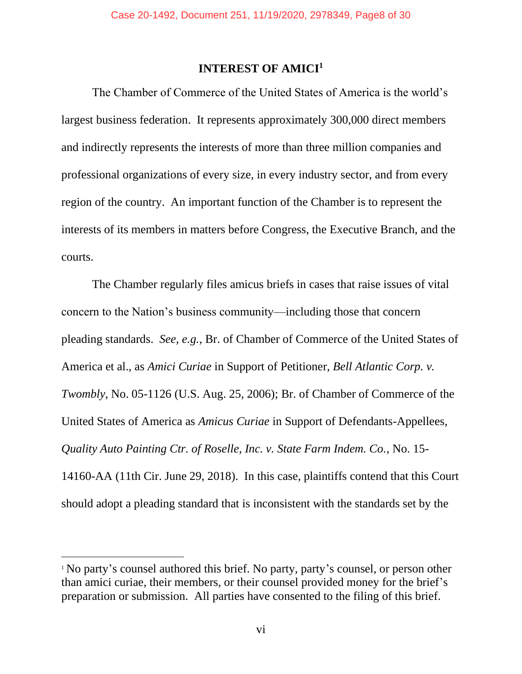#### **INTEREST OF AMICI<sup>1</sup>**

<span id="page-7-0"></span>The Chamber of Commerce of the United States of America is the world's largest business federation. It represents approximately 300,000 direct members and indirectly represents the interests of more than three million companies and professional organizations of every size, in every industry sector, and from every region of the country. An important function of the Chamber is to represent the interests of its members in matters before Congress, the Executive Branch, and the courts.

The Chamber regularly files amicus briefs in cases that raise issues of vital concern to the Nation's business community—including those that concern pleading standards. *See, e.g.*, Br. of Chamber of Commerce of the United States of America et al., as *Amici Curiae* in Support of Petitioner, *Bell Atlantic Corp. v. Twombly*, No. 05-1126 (U.S. Aug. 25, 2006); Br. of Chamber of Commerce of the United States of America as *Amicus Curiae* in Support of Defendants-Appellees, *Quality Auto Painting Ctr. of Roselle, Inc. v. State Farm Indem. Co.*, No. 15- 14160-AA (11th Cir. June 29, 2018). In this case, plaintiffs contend that this Court should adopt a pleading standard that is inconsistent with the standards set by the

<sup>&</sup>lt;sup>1</sup> No party's counsel authored this brief. No party, party's counsel, or person other than amici curiae, their members, or their counsel provided money for the brief's preparation or submission. All parties have consented to the filing of this brief.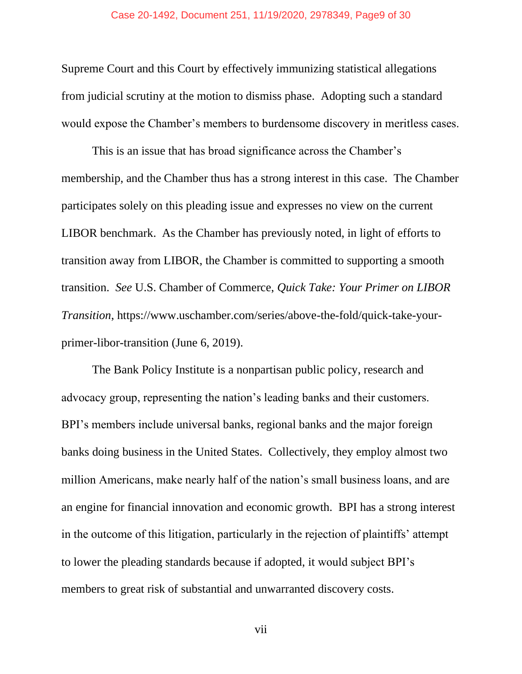Supreme Court and this Court by effectively immunizing statistical allegations from judicial scrutiny at the motion to dismiss phase. Adopting such a standard would expose the Chamber's members to burdensome discovery in meritless cases.

This is an issue that has broad significance across the Chamber's membership, and the Chamber thus has a strong interest in this case. The Chamber participates solely on this pleading issue and expresses no view on the current LIBOR benchmark. As the Chamber has previously noted, in light of efforts to transition away from LIBOR, the Chamber is committed to supporting a smooth transition. *See* U.S. Chamber of Commerce, *Quick Take: Your Primer on LIBOR Transition*, https://www.uschamber.com/series/above-the-fold/quick-take-yourprimer-libor-transition (June 6, 2019).

The Bank Policy Institute is a nonpartisan public policy, research and advocacy group, representing the nation's leading banks and their customers. BPI's members include universal banks, regional banks and the major foreign banks doing business in the United States. Collectively, they employ almost two million Americans, make nearly half of the nation's small business loans, and are an engine for financial innovation and economic growth. BPI has a strong interest in the outcome of this litigation, particularly in the rejection of plaintiffs' attempt to lower the pleading standards because if adopted, it would subject BPI's members to great risk of substantial and unwarranted discovery costs.

vii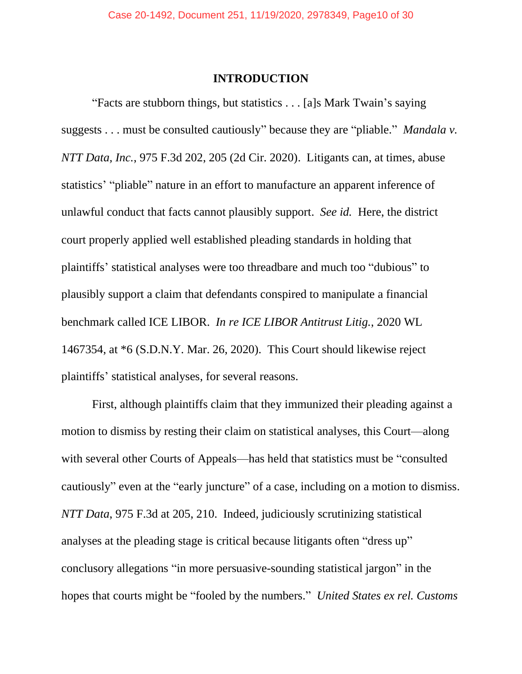#### **INTRODUCTION**

<span id="page-9-0"></span>"Facts are stubborn things, but statistics . . . [a]s Mark Twain's saying suggests . . . must be consulted cautiously" because they are "pliable." *Mandala v. NTT Data, Inc.*, 975 F.3d 202, 205 (2d Cir. 2020). Litigants can, at times, abuse statistics' "pliable" nature in an effort to manufacture an apparent inference of unlawful conduct that facts cannot plausibly support. *See id.* Here, the district court properly applied well established pleading standards in holding that plaintiffs' statistical analyses were too threadbare and much too "dubious" to plausibly support a claim that defendants conspired to manipulate a financial benchmark called ICE LIBOR. *In re ICE LIBOR Antitrust Litig.*, 2020 WL 1467354, at \*6 (S.D.N.Y. Mar. 26, 2020). This Court should likewise reject plaintiffs' statistical analyses, for several reasons.

First, although plaintiffs claim that they immunized their pleading against a motion to dismiss by resting their claim on statistical analyses, this Court—along with several other Courts of Appeals—has held that statistics must be "consulted cautiously" even at the "early juncture" of a case, including on a motion to dismiss. *NTT Data*, 975 F.3d at 205, 210. Indeed, judiciously scrutinizing statistical analyses at the pleading stage is critical because litigants often "dress up" conclusory allegations "in more persuasive-sounding statistical jargon" in the hopes that courts might be "fooled by the numbers." *United States ex rel. Customs*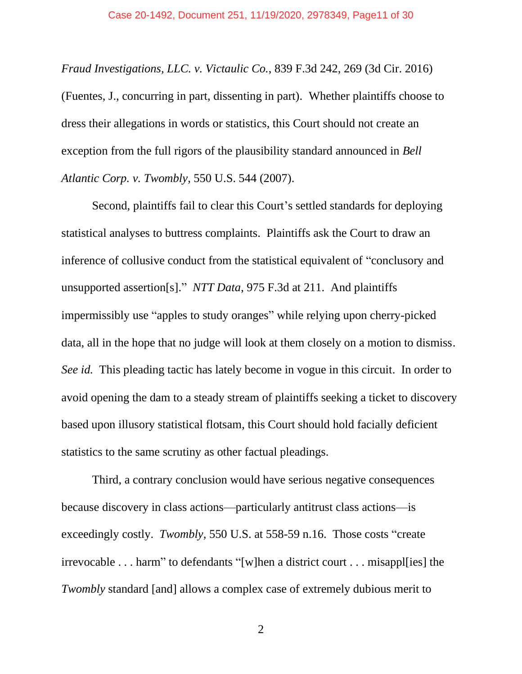*Fraud Investigations, LLC. v. Victaulic Co.*, 839 F.3d 242, 269 (3d Cir. 2016) (Fuentes, J., concurring in part, dissenting in part). Whether plaintiffs choose to dress their allegations in words or statistics, this Court should not create an exception from the full rigors of the plausibility standard announced in *Bell Atlantic Corp. v. Twombly*, 550 U.S. 544 (2007).

Second, plaintiffs fail to clear this Court's settled standards for deploying statistical analyses to buttress complaints. Plaintiffs ask the Court to draw an inference of collusive conduct from the statistical equivalent of "conclusory and unsupported assertion[s]." *NTT Data*, 975 F.3d at 211. And plaintiffs impermissibly use "apples to study oranges" while relying upon cherry-picked data, all in the hope that no judge will look at them closely on a motion to dismiss. *See id.* This pleading tactic has lately become in vogue in this circuit. In order to avoid opening the dam to a steady stream of plaintiffs seeking a ticket to discovery based upon illusory statistical flotsam, this Court should hold facially deficient statistics to the same scrutiny as other factual pleadings.

Third, a contrary conclusion would have serious negative consequences because discovery in class actions—particularly antitrust class actions—is exceedingly costly. *Twombly*, 550 U.S. at 558-59 n.16. Those costs "create irrevocable . . . harm" to defendants "[w]hen a district court . . . misappl[ies] the *Twombly* standard [and] allows a complex case of extremely dubious merit to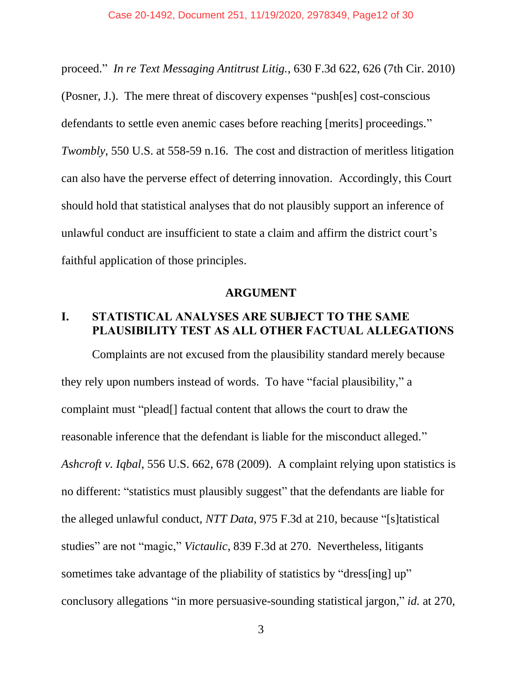proceed." *In re Text Messaging Antitrust Litig.*, 630 F.3d 622, 626 (7th Cir. 2010) (Posner, J.). The mere threat of discovery expenses "push[es] cost-conscious defendants to settle even anemic cases before reaching [merits] proceedings." *Twombly*, 550 U.S. at 558-59 n.16. The cost and distraction of meritless litigation can also have the perverse effect of deterring innovation. Accordingly, this Court should hold that statistical analyses that do not plausibly support an inference of unlawful conduct are insufficient to state a claim and affirm the district court's faithful application of those principles.

#### **ARGUMENT**

## <span id="page-11-1"></span><span id="page-11-0"></span>**I. STATISTICAL ANALYSES ARE SUBJECT TO THE SAME PLAUSIBILITY TEST AS ALL OTHER FACTUAL ALLEGATIONS**

Complaints are not excused from the plausibility standard merely because they rely upon numbers instead of words. To have "facial plausibility," a complaint must "plead[] factual content that allows the court to draw the reasonable inference that the defendant is liable for the misconduct alleged." *Ashcroft v. Iqbal*, 556 U.S. 662, 678 (2009). A complaint relying upon statistics is no different: "statistics must plausibly suggest" that the defendants are liable for the alleged unlawful conduct, *NTT Data*, 975 F.3d at 210, because "[s]tatistical studies" are not "magic," *Victaulic*, 839 F.3d at 270. Nevertheless, litigants sometimes take advantage of the pliability of statistics by "dress[ing] up" conclusory allegations "in more persuasive-sounding statistical jargon," *id.* at 270,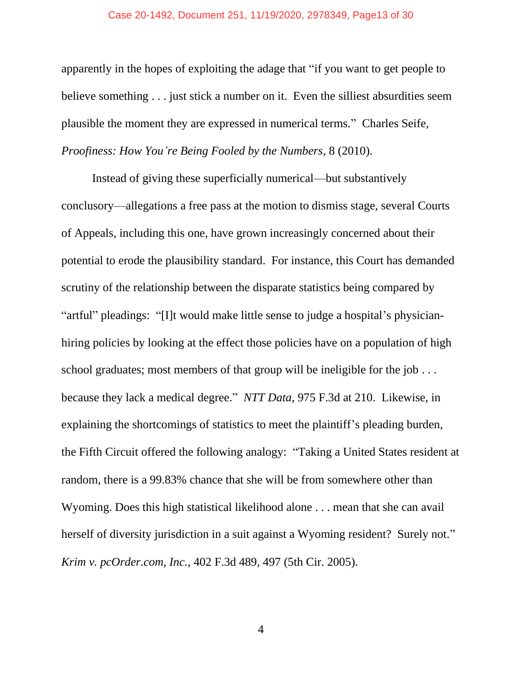#### Case 20-1492, Document 251, 11/19/2020, 2978349, Page13 of 30

apparently in the hopes of exploiting the adage that "if you want to get people to believe something . . . just stick a number on it. Even the silliest absurdities seem plausible the moment they are expressed in numerical terms." Charles Seife, *Proofiness: How You're Being Fooled by the Numbers*, 8 (2010).

Instead of giving these superficially numerical—but substantively conclusory—allegations a free pass at the motion to dismiss stage, several Courts of Appeals, including this one, have grown increasingly concerned about their potential to erode the plausibility standard. For instance, this Court has demanded scrutiny of the relationship between the disparate statistics being compared by "artful" pleadings: "[I]t would make little sense to judge a hospital's physicianhiring policies by looking at the effect those policies have on a population of high school graduates; most members of that group will be ineligible for the job ... because they lack a medical degree." *NTT Data*, 975 F.3d at 210. Likewise, in explaining the shortcomings of statistics to meet the plaintiff's pleading burden, the Fifth Circuit offered the following analogy: "Taking a United States resident at random, there is a 99.83% chance that she will be from somewhere other than Wyoming. Does this high statistical likelihood alone . . . mean that she can avail herself of diversity jurisdiction in a suit against a Wyoming resident? Surely not." *Krim v. pcOrder.com, Inc.*, 402 F.3d 489, 497 (5th Cir. 2005).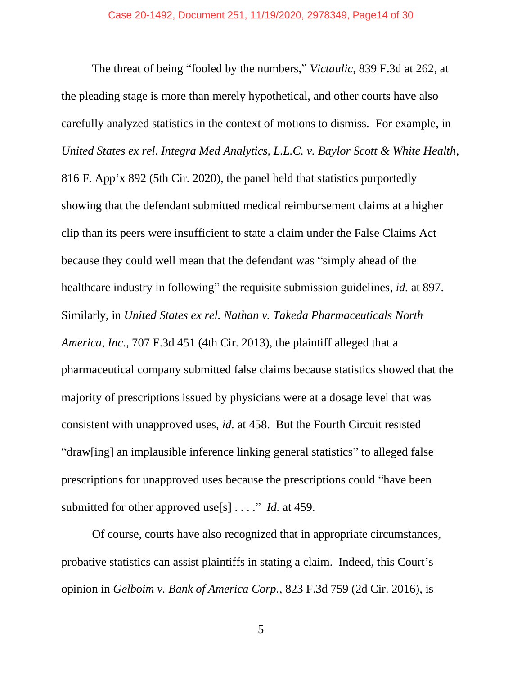The threat of being "fooled by the numbers," *Victaulic*, 839 F.3d at 262, at the pleading stage is more than merely hypothetical, and other courts have also carefully analyzed statistics in the context of motions to dismiss. For example, in *United States ex rel. Integra Med Analytics, L.L.C. v. Baylor Scott & White Health*, 816 F. App'x 892 (5th Cir. 2020), the panel held that statistics purportedly showing that the defendant submitted medical reimbursement claims at a higher clip than its peers were insufficient to state a claim under the False Claims Act because they could well mean that the defendant was "simply ahead of the healthcare industry in following" the requisite submission guidelines, *id.* at 897. Similarly, in *United States ex rel. Nathan v. Takeda Pharmaceuticals North America, Inc.*, 707 F.3d 451 (4th Cir. 2013), the plaintiff alleged that a pharmaceutical company submitted false claims because statistics showed that the majority of prescriptions issued by physicians were at a dosage level that was consistent with unapproved uses, *id.* at 458. But the Fourth Circuit resisted "draw[ing] an implausible inference linking general statistics" to alleged false prescriptions for unapproved uses because the prescriptions could "have been submitted for other approved use[s] . . . ." *Id.* at 459.

Of course, courts have also recognized that in appropriate circumstances, probative statistics can assist plaintiffs in stating a claim. Indeed, this Court's opinion in *Gelboim v. Bank of America Corp.*, 823 F.3d 759 (2d Cir. 2016), is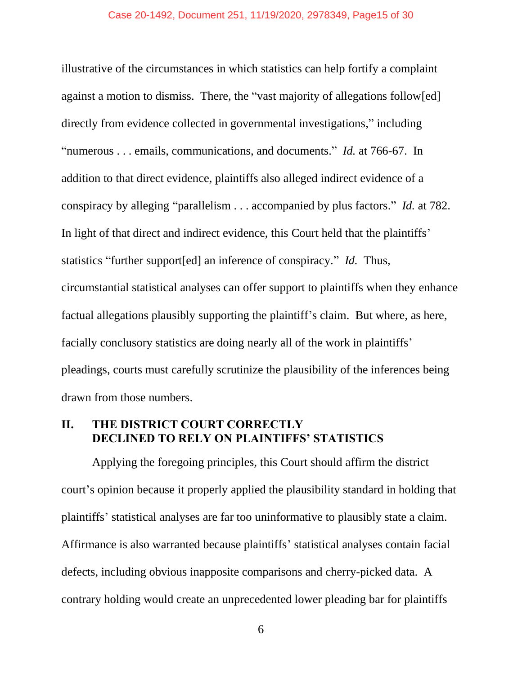#### Case 20-1492, Document 251, 11/19/2020, 2978349, Page15 of 30

illustrative of the circumstances in which statistics can help fortify a complaint against a motion to dismiss. There, the "vast majority of allegations follow[ed] directly from evidence collected in governmental investigations," including "numerous . . . emails, communications, and documents." *Id.* at 766-67. In addition to that direct evidence, plaintiffs also alleged indirect evidence of a conspiracy by alleging "parallelism . . . accompanied by plus factors." *Id.* at 782. In light of that direct and indirect evidence, this Court held that the plaintiffs' statistics "further support[ed] an inference of conspiracy." *Id.* Thus, circumstantial statistical analyses can offer support to plaintiffs when they enhance factual allegations plausibly supporting the plaintiff's claim. But where, as here, facially conclusory statistics are doing nearly all of the work in plaintiffs' pleadings, courts must carefully scrutinize the plausibility of the inferences being drawn from those numbers.

## <span id="page-14-0"></span>**II. THE DISTRICT COURT CORRECTLY DECLINED TO RELY ON PLAINTIFFS' STATISTICS**

Applying the foregoing principles, this Court should affirm the district court's opinion because it properly applied the plausibility standard in holding that plaintiffs' statistical analyses are far too uninformative to plausibly state a claim. Affirmance is also warranted because plaintiffs' statistical analyses contain facial defects, including obvious inapposite comparisons and cherry-picked data. A contrary holding would create an unprecedented lower pleading bar for plaintiffs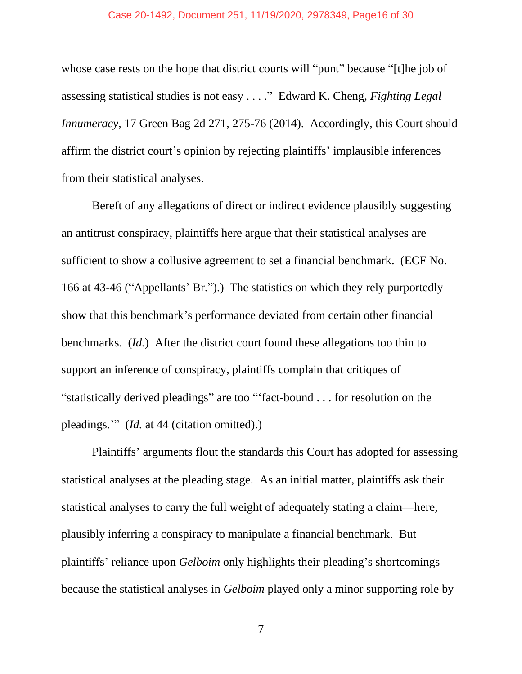#### Case 20-1492, Document 251, 11/19/2020, 2978349, Page16 of 30

whose case rests on the hope that district courts will "punt" because "[t]he job of assessing statistical studies is not easy . . . ." Edward K. Cheng, *Fighting Legal Innumeracy*, 17 Green Bag 2d 271, 275-76 (2014). Accordingly, this Court should affirm the district court's opinion by rejecting plaintiffs' implausible inferences from their statistical analyses.

Bereft of any allegations of direct or indirect evidence plausibly suggesting an antitrust conspiracy, plaintiffs here argue that their statistical analyses are sufficient to show a collusive agreement to set a financial benchmark. (ECF No. 166 at 43-46 ("Appellants' Br.").) The statistics on which they rely purportedly show that this benchmark's performance deviated from certain other financial benchmarks. (*Id.*) After the district court found these allegations too thin to support an inference of conspiracy, plaintiffs complain that critiques of "statistically derived pleadings" are too "'fact-bound . . . for resolution on the pleadings.'" (*Id.* at 44 (citation omitted).)

Plaintiffs' arguments flout the standards this Court has adopted for assessing statistical analyses at the pleading stage. As an initial matter, plaintiffs ask their statistical analyses to carry the full weight of adequately stating a claim—here, plausibly inferring a conspiracy to manipulate a financial benchmark. But plaintiffs' reliance upon *Gelboim* only highlights their pleading's shortcomings because the statistical analyses in *Gelboim* played only a minor supporting role by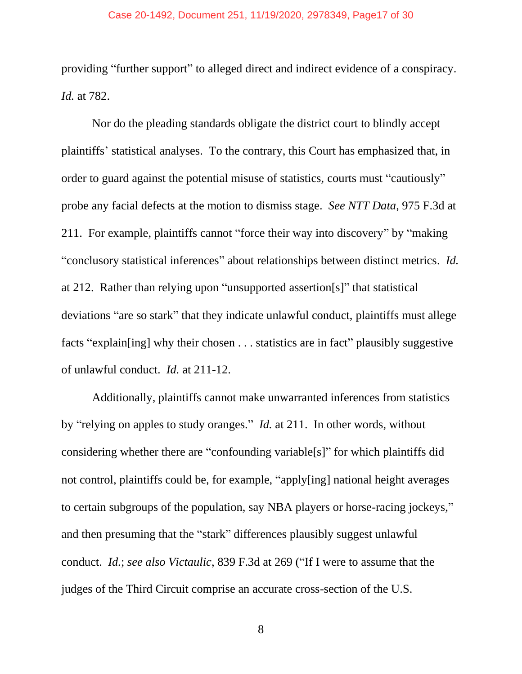#### Case 20-1492, Document 251, 11/19/2020, 2978349, Page17 of 30

providing "further support" to alleged direct and indirect evidence of a conspiracy. *Id.* at 782.

Nor do the pleading standards obligate the district court to blindly accept plaintiffs' statistical analyses. To the contrary, this Court has emphasized that, in order to guard against the potential misuse of statistics, courts must "cautiously" probe any facial defects at the motion to dismiss stage. *See NTT Data*, 975 F.3d at 211. For example, plaintiffs cannot "force their way into discovery" by "making "conclusory statistical inferences" about relationships between distinct metrics. *Id.* at 212. Rather than relying upon "unsupported assertion[s]" that statistical deviations "are so stark" that they indicate unlawful conduct, plaintiffs must allege facts "explain[ing] why their chosen . . . statistics are in fact" plausibly suggestive of unlawful conduct. *Id.* at 211-12.

Additionally, plaintiffs cannot make unwarranted inferences from statistics by "relying on apples to study oranges." *Id.* at 211.In other words, without considering whether there are "confounding variable[s]" for which plaintiffs did not control, plaintiffs could be, for example, "apply[ing] national height averages to certain subgroups of the population, say NBA players or horse-racing jockeys," and then presuming that the "stark" differences plausibly suggest unlawful conduct. *Id.*; *see also Victaulic*, 839 F.3d at 269 ("If I were to assume that the judges of the Third Circuit comprise an accurate cross-section of the U.S.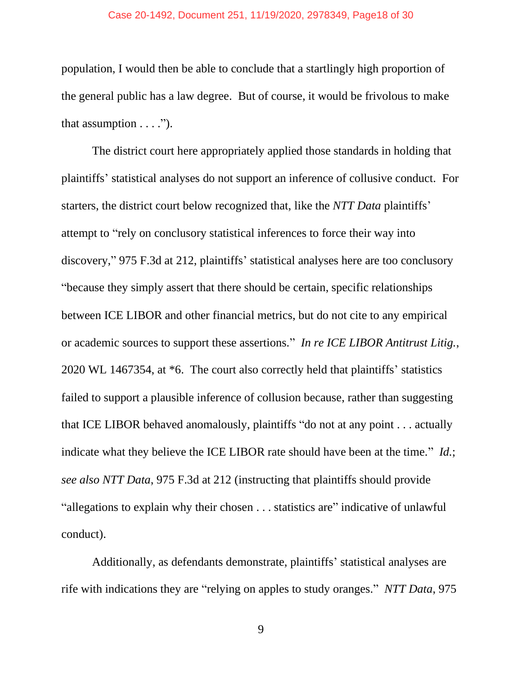#### Case 20-1492, Document 251, 11/19/2020, 2978349, Page18 of 30

population, I would then be able to conclude that a startlingly high proportion of the general public has a law degree. But of course, it would be frivolous to make that assumption  $\dots$ .").

The district court here appropriately applied those standards in holding that plaintiffs' statistical analyses do not support an inference of collusive conduct. For starters, the district court below recognized that, like the *NTT Data* plaintiffs' attempt to "rely on conclusory statistical inferences to force their way into discovery," 975 F.3d at 212, plaintiffs' statistical analyses here are too conclusory "because they simply assert that there should be certain, specific relationships between ICE LIBOR and other financial metrics, but do not cite to any empirical or academic sources to support these assertions." *In re ICE LIBOR Antitrust Litig.*, 2020 WL 1467354, at \*6. The court also correctly held that plaintiffs' statistics failed to support a plausible inference of collusion because, rather than suggesting that ICE LIBOR behaved anomalously, plaintiffs "do not at any point . . . actually indicate what they believe the ICE LIBOR rate should have been at the time." *Id.*; *see also NTT Data*, 975 F.3d at 212 (instructing that plaintiffs should provide "allegations to explain why their chosen . . . statistics are" indicative of unlawful conduct).

Additionally, as defendants demonstrate, plaintiffs' statistical analyses are rife with indications they are "relying on apples to study oranges." *NTT Data*, 975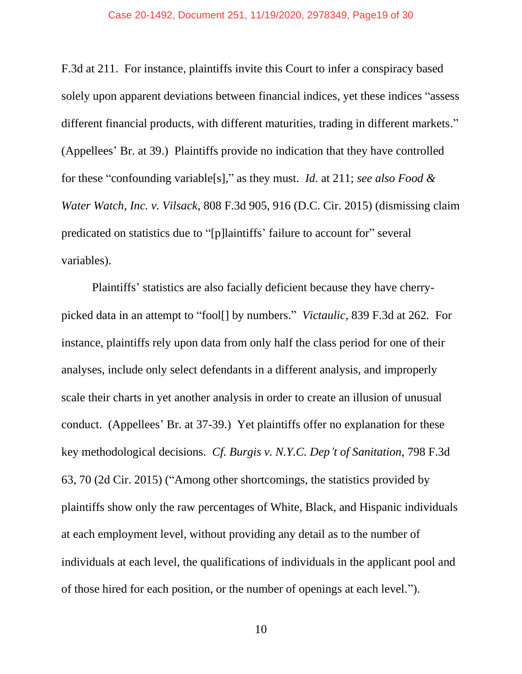#### Case 20-1492, Document 251, 11/19/2020, 2978349, Page19 of 30

F.3d at 211. For instance, plaintiffs invite this Court to infer a conspiracy based solely upon apparent deviations between financial indices, yet these indices "assess different financial products, with different maturities, trading in different markets." (Appellees' Br. at 39.) Plaintiffs provide no indication that they have controlled for these "confounding variable[s]," as they must. *Id.* at 211; *see also Food & Water Watch, Inc. v. Vilsack*, 808 F.3d 905, 916 (D.C. Cir. 2015) (dismissing claim predicated on statistics due to "[p]laintiffs' failure to account for" several variables).

Plaintiffs' statistics are also facially deficient because they have cherrypicked data in an attempt to "fool[] by numbers." *Victaulic*, 839 F.3d at 262. For instance, plaintiffs rely upon data from only half the class period for one of their analyses, include only select defendants in a different analysis, and improperly scale their charts in yet another analysis in order to create an illusion of unusual conduct. (Appellees' Br. at 37-39.) Yet plaintiffs offer no explanation for these key methodological decisions. *Cf. Burgis v. N.Y.C. Dep't of Sanitation*, 798 F.3d 63, 70 (2d Cir. 2015) ("Among other shortcomings, the statistics provided by plaintiffs show only the raw percentages of White, Black, and Hispanic individuals at each employment level, without providing any detail as to the number of individuals at each level, the qualifications of individuals in the applicant pool and of those hired for each position, or the number of openings at each level.").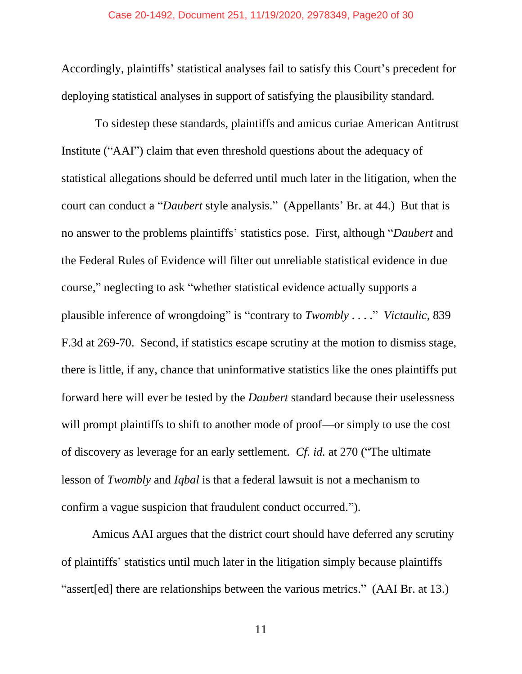Accordingly, plaintiffs' statistical analyses fail to satisfy this Court's precedent for deploying statistical analyses in support of satisfying the plausibility standard.

To sidestep these standards, plaintiffs and amicus curiae American Antitrust Institute ("AAI") claim that even threshold questions about the adequacy of statistical allegations should be deferred until much later in the litigation, when the court can conduct a "*Daubert* style analysis." (Appellants' Br. at 44.) But that is no answer to the problems plaintiffs' statistics pose. First, although "*Daubert* and the Federal Rules of Evidence will filter out unreliable statistical evidence in due course," neglecting to ask "whether statistical evidence actually supports a plausible inference of wrongdoing" is "contrary to *Twombly* . . . ." *Victaulic*, 839 F.3d at 269-70. Second, if statistics escape scrutiny at the motion to dismiss stage, there is little, if any, chance that uninformative statistics like the ones plaintiffs put forward here will ever be tested by the *Daubert* standard because their uselessness will prompt plaintiffs to shift to another mode of proof—or simply to use the cost of discovery as leverage for an early settlement. *Cf. id.* at 270 ("The ultimate lesson of *Twombly* and *Iqbal* is that a federal lawsuit is not a mechanism to confirm a vague suspicion that fraudulent conduct occurred.").

Amicus AAI argues that the district court should have deferred any scrutiny of plaintiffs' statistics until much later in the litigation simply because plaintiffs "assert[ed] there are relationships between the various metrics." (AAI Br. at 13.)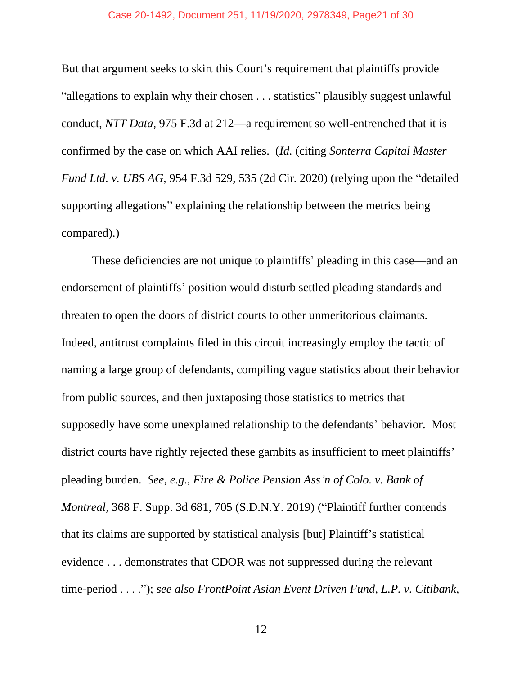#### Case 20-1492, Document 251, 11/19/2020, 2978349, Page21 of 30

But that argument seeks to skirt this Court's requirement that plaintiffs provide "allegations to explain why their chosen . . . statistics" plausibly suggest unlawful conduct, *NTT Data*, 975 F.3d at 212—a requirement so well-entrenched that it is confirmed by the case on which AAI relies. (*Id.* (citing *Sonterra Capital Master Fund Ltd. v. UBS AG*, 954 F.3d 529, 535 (2d Cir. 2020) (relying upon the "detailed supporting allegations" explaining the relationship between the metrics being compared).)

These deficiencies are not unique to plaintiffs' pleading in this case—and an endorsement of plaintiffs' position would disturb settled pleading standards and threaten to open the doors of district courts to other unmeritorious claimants. Indeed, antitrust complaints filed in this circuit increasingly employ the tactic of naming a large group of defendants, compiling vague statistics about their behavior from public sources, and then juxtaposing those statistics to metrics that supposedly have some unexplained relationship to the defendants' behavior. Most district courts have rightly rejected these gambits as insufficient to meet plaintiffs' pleading burden. *See, e.g.*, *Fire & Police Pension Ass'n of Colo. v. Bank of Montreal*, 368 F. Supp. 3d 681, 705 (S.D.N.Y. 2019) ("Plaintiff further contends that its claims are supported by statistical analysis [but] Plaintiff's statistical evidence . . . demonstrates that CDOR was not suppressed during the relevant time-period . . . ."); *see also FrontPoint Asian Event Driven Fund, L.P. v. Citibank,*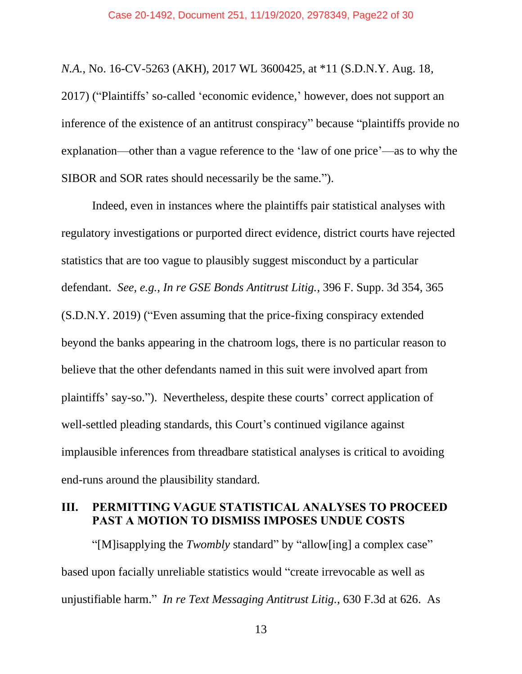*N.A.*, No. 16-CV-5263 (AKH), 2017 WL 3600425, at \*11 (S.D.N.Y. Aug. 18, 2017) ("Plaintiffs' so-called 'economic evidence,' however, does not support an inference of the existence of an antitrust conspiracy" because "plaintiffs provide no explanation—other than a vague reference to the 'law of one price'—as to why the SIBOR and SOR rates should necessarily be the same.").

Indeed, even in instances where the plaintiffs pair statistical analyses with regulatory investigations or purported direct evidence, district courts have rejected statistics that are too vague to plausibly suggest misconduct by a particular defendant. *See, e.g.*, *In re GSE Bonds Antitrust Litig.*, 396 F. Supp. 3d 354, 365 (S.D.N.Y. 2019) ("Even assuming that the price-fixing conspiracy extended beyond the banks appearing in the chatroom logs, there is no particular reason to believe that the other defendants named in this suit were involved apart from plaintiffs' say-so."). Nevertheless, despite these courts' correct application of well-settled pleading standards, this Court's continued vigilance against implausible inferences from threadbare statistical analyses is critical to avoiding end-runs around the plausibility standard.

## <span id="page-21-0"></span>**III. PERMITTING VAGUE STATISTICAL ANALYSES TO PROCEED PAST A MOTION TO DISMISS IMPOSES UNDUE COSTS**

"[M]isapplying the *Twombly* standard" by "allow[ing] a complex case" based upon facially unreliable statistics would "create irrevocable as well as unjustifiable harm." *In re Text Messaging Antitrust Litig.*, 630 F.3d at 626. As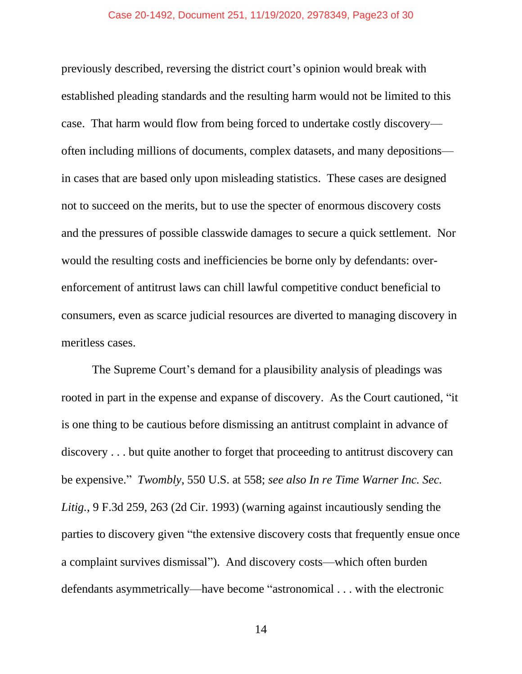#### Case 20-1492, Document 251, 11/19/2020, 2978349, Page23 of 30

previously described, reversing the district court's opinion would break with established pleading standards and the resulting harm would not be limited to this case. That harm would flow from being forced to undertake costly discovery often including millions of documents, complex datasets, and many depositions in cases that are based only upon misleading statistics. These cases are designed not to succeed on the merits, but to use the specter of enormous discovery costs and the pressures of possible classwide damages to secure a quick settlement. Nor would the resulting costs and inefficiencies be borne only by defendants: overenforcement of antitrust laws can chill lawful competitive conduct beneficial to consumers, even as scarce judicial resources are diverted to managing discovery in meritless cases.

The Supreme Court's demand for a plausibility analysis of pleadings was rooted in part in the expense and expanse of discovery. As the Court cautioned, "it is one thing to be cautious before dismissing an antitrust complaint in advance of discovery . . . but quite another to forget that proceeding to antitrust discovery can be expensive." *Twombly*, 550 U.S. at 558; *see also In re Time Warner Inc. Sec. Litig.*, 9 F.3d 259, 263 (2d Cir. 1993) (warning against incautiously sending the parties to discovery given "the extensive discovery costs that frequently ensue once a complaint survives dismissal"). And discovery costs—which often burden defendants asymmetrically—have become "astronomical . . . with the electronic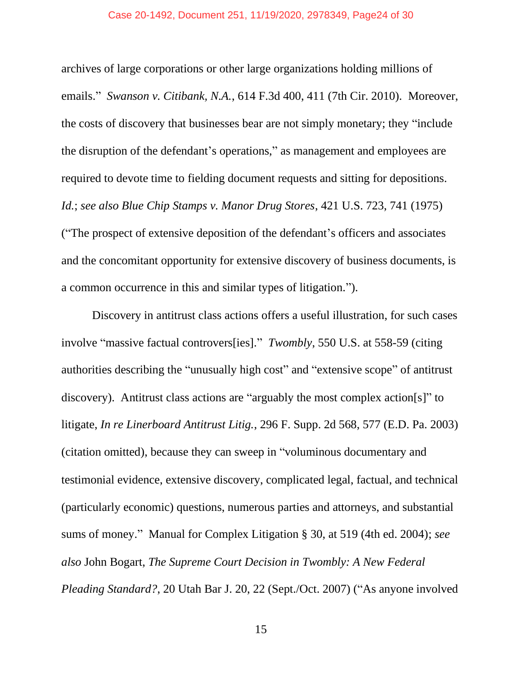#### Case 20-1492, Document 251, 11/19/2020, 2978349, Page24 of 30

archives of large corporations or other large organizations holding millions of emails." *Swanson v. Citibank, N.A.*, 614 F.3d 400, 411 (7th Cir. 2010). Moreover, the costs of discovery that businesses bear are not simply monetary; they "include the disruption of the defendant's operations," as management and employees are required to devote time to fielding document requests and sitting for depositions. *Id.*; *see also Blue Chip Stamps v. Manor Drug Stores*, 421 U.S. 723, 741 (1975) ("The prospect of extensive deposition of the defendant's officers and associates and the concomitant opportunity for extensive discovery of business documents, is a common occurrence in this and similar types of litigation.").

Discovery in antitrust class actions offers a useful illustration, for such cases involve "massive factual controvers[ies]." *Twombly*, 550 U.S. at 558-59 (citing authorities describing the "unusually high cost" and "extensive scope" of antitrust discovery). Antitrust class actions are "arguably the most complex action[s]" to litigate, *In re Linerboard Antitrust Litig.*, 296 F. Supp. 2d 568, 577 (E.D. Pa. 2003) (citation omitted), because they can sweep in "voluminous documentary and testimonial evidence, extensive discovery, complicated legal, factual, and technical (particularly economic) questions, numerous parties and attorneys, and substantial sums of money." Manual for Complex Litigation § 30, at 519 (4th ed. 2004); *see also* John Bogart, *The Supreme Court Decision in Twombly: A New Federal Pleading Standard?*, 20 Utah Bar J. 20, 22 (Sept./Oct. 2007) ("As anyone involved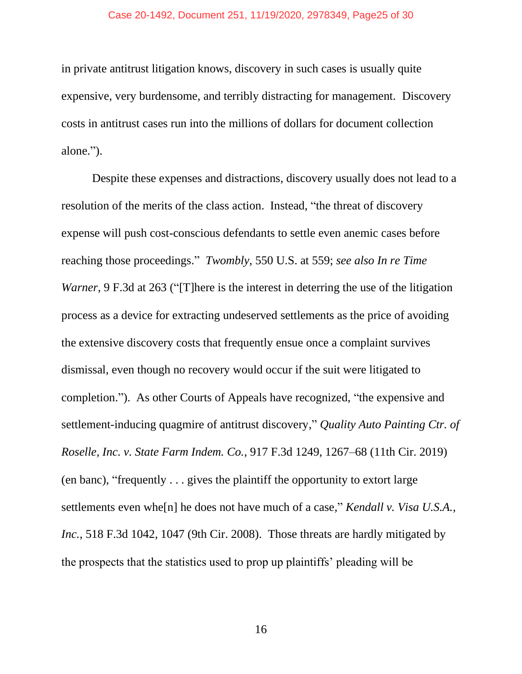#### Case 20-1492, Document 251, 11/19/2020, 2978349, Page25 of 30

in private antitrust litigation knows, discovery in such cases is usually quite expensive, very burdensome, and terribly distracting for management. Discovery costs in antitrust cases run into the millions of dollars for document collection alone.").

Despite these expenses and distractions, discovery usually does not lead to a resolution of the merits of the class action. Instead, "the threat of discovery expense will push cost-conscious defendants to settle even anemic cases before reaching those proceedings." *Twombly*, 550 U.S. at 559; *see also In re Time Warner*, 9 F.3d at 263 ("There is the interest in deterring the use of the litigation process as a device for extracting undeserved settlements as the price of avoiding the extensive discovery costs that frequently ensue once a complaint survives dismissal, even though no recovery would occur if the suit were litigated to completion."). As other Courts of Appeals have recognized, "the expensive and settlement-inducing quagmire of antitrust discovery," *Quality Auto Painting Ctr. of Roselle, Inc. v. State Farm Indem. Co.*, 917 F.3d 1249, 1267–68 (11th Cir. 2019) (en banc), "frequently . . . gives the plaintiff the opportunity to extort large settlements even whe[n] he does not have much of a case," *Kendall v. Visa U.S.A., Inc.*, 518 F.3d 1042, 1047 (9th Cir. 2008). Those threats are hardly mitigated by the prospects that the statistics used to prop up plaintiffs' pleading will be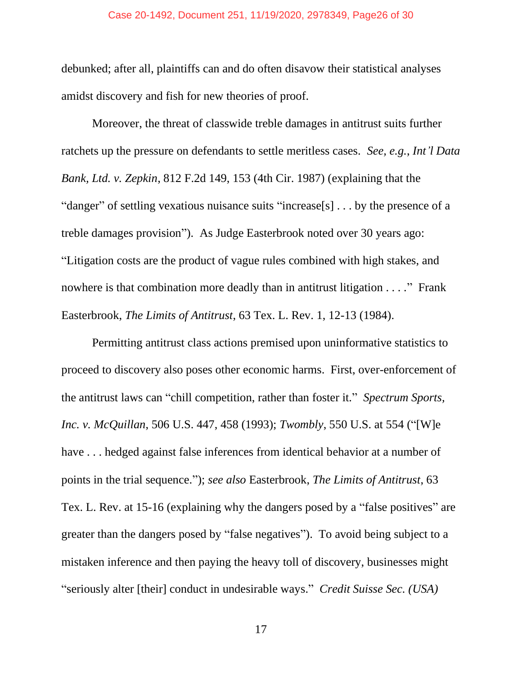#### Case 20-1492, Document 251, 11/19/2020, 2978349, Page26 of 30

debunked; after all, plaintiffs can and do often disavow their statistical analyses amidst discovery and fish for new theories of proof.

Moreover, the threat of classwide treble damages in antitrust suits further ratchets up the pressure on defendants to settle meritless cases. *See, e.g.*, *Int'l Data Bank, Ltd. v. Zepkin*, 812 F.2d 149, 153 (4th Cir. 1987) (explaining that the "danger" of settling vexatious nuisance suits "increase[s] . . . by the presence of a treble damages provision"). As Judge Easterbrook noted over 30 years ago: "Litigation costs are the product of vague rules combined with high stakes, and nowhere is that combination more deadly than in antitrust litigation . . . ." Frank Easterbrook, *The Limits of Antitrust*, 63 Tex. L. Rev. 1, 12-13 (1984).

Permitting antitrust class actions premised upon uninformative statistics to proceed to discovery also poses other economic harms. First, over-enforcement of the antitrust laws can "chill competition, rather than foster it." *Spectrum Sports, Inc. v. McQuillan*, 506 U.S. 447, 458 (1993); *Twombly*, 550 U.S. at 554 ("[W]e have ... hedged against false inferences from identical behavior at a number of points in the trial sequence."); *see also* Easterbrook, *The Limits of Antitrust*, 63 Tex. L. Rev. at 15-16 (explaining why the dangers posed by a "false positives" are greater than the dangers posed by "false negatives"). To avoid being subject to a mistaken inference and then paying the heavy toll of discovery, businesses might "seriously alter [their] conduct in undesirable ways." *Credit Suisse Sec. (USA)*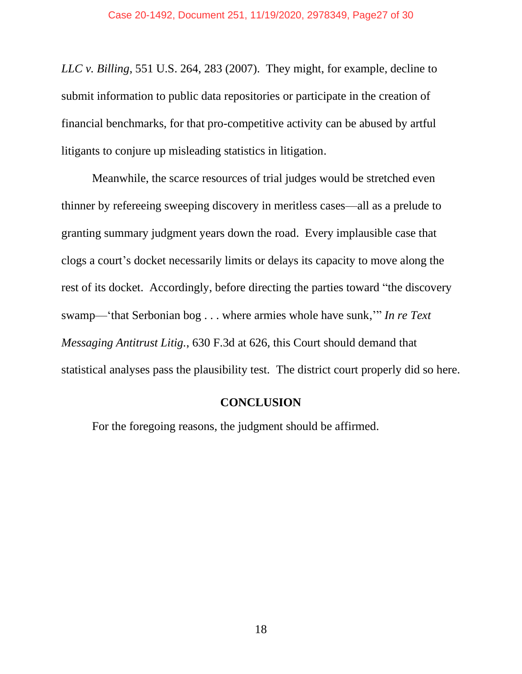*LLC v. Billing*, 551 U.S. 264, 283 (2007). They might, for example, decline to submit information to public data repositories or participate in the creation of financial benchmarks, for that pro-competitive activity can be abused by artful litigants to conjure up misleading statistics in litigation.

Meanwhile, the scarce resources of trial judges would be stretched even thinner by refereeing sweeping discovery in meritless cases—all as a prelude to granting summary judgment years down the road. Every implausible case that clogs a court's docket necessarily limits or delays its capacity to move along the rest of its docket. Accordingly, before directing the parties toward "the discovery swamp—'that Serbonian bog . . . where armies whole have sunk,'" *In re Text Messaging Antitrust Litig.*, 630 F.3d at 626, this Court should demand that statistical analyses pass the plausibility test. The district court properly did so here.

#### **CONCLUSION**

<span id="page-26-0"></span>For the foregoing reasons, the judgment should be affirmed.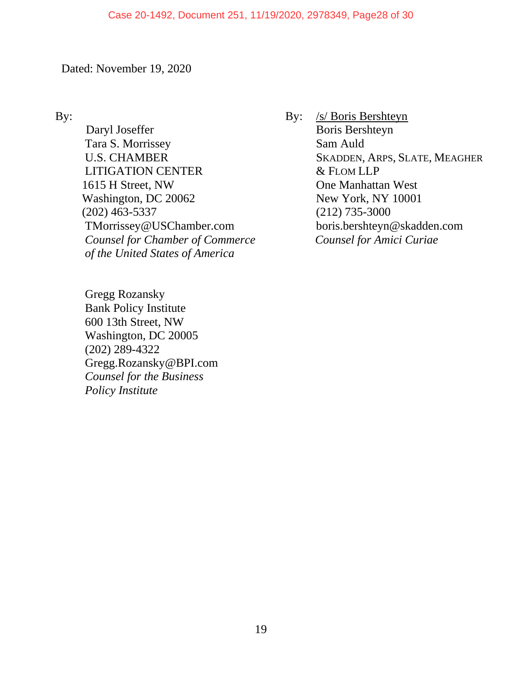#### Case 20-1492, Document 251, 11/19/2020, 2978349, Page28 of 30

Dated: November 19, 2020

By:

Daryl Joseffer Tara S. Morrissey U.S. CHAMBER LITIGATION CENTER 1615 H Street, NW Washington, DC 20062 (202) 463-5337 TMorrissey@USChamber.com  *Counsel for Chamber of Commerce of the United States of America*

 Gregg Rozansky Bank Policy Institute 600 13th Street, NW Washington, DC 20005 (202) 289-4322 Gregg.Rozansky@BPI.com  *Counsel for the Business Policy Institute* 

By: /s/ Boris Bershteyn Boris Bershteyn Sam Auld SKADDEN, ARPS, SLATE, MEAGHER & FLOM LLP One Manhattan West New York, NY 10001 (212) 735-3000 boris.bershteyn@skadden.com  *Counsel for Amici Curiae*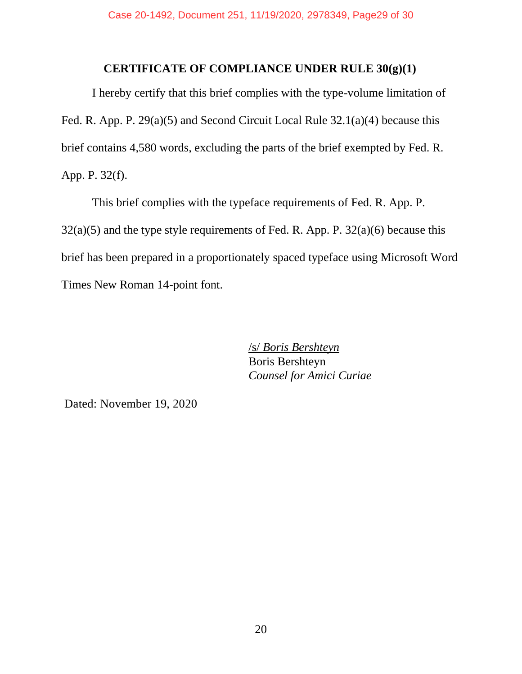### **CERTIFICATE OF COMPLIANCE UNDER RULE 30(g)(1)**

I hereby certify that this brief complies with the type-volume limitation of Fed. R. App. P. 29(a)(5) and Second Circuit Local Rule 32.1(a)(4) because this brief contains 4,580 words, excluding the parts of the brief exempted by Fed. R. App. P. 32(f).

This brief complies with the typeface requirements of Fed. R. App. P.  $32(a)(5)$  and the type style requirements of Fed. R. App. P.  $32(a)(6)$  because this brief has been prepared in a proportionately spaced typeface using Microsoft Word Times New Roman 14-point font.

> /s/ *Boris Bershteyn*  Boris Bershteyn *Counsel for Amici Curiae*

Dated: November 19, 2020